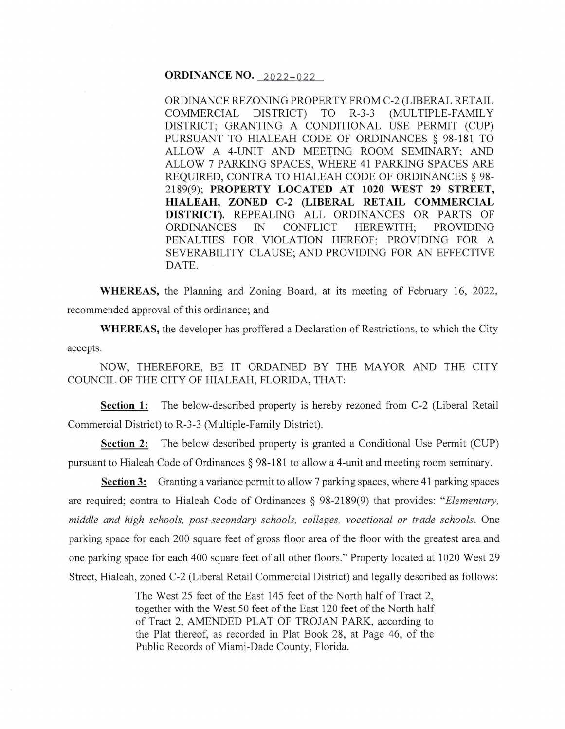# **ORDINANCE NO. 2022-022**

ORDINANCE REZONING PROPERTY FROM C-2 (LIBERAL RETAIL COMMERCIAL DISTRICT) TO R-3-3 (MULTIPLE-FAMILY DISTRICT; GRANTING A CONDITIONAL USE PERMIT (CUP) PURSUANT TO HIALEAH CODE OF ORDINANCES § 98-181 TO ALLOW A 4-UNIT AND MEE1ING ROOM SEMINARY; AND ALLOW 7 PARKING SPACES, WHERE 41 PARKING SPACES ARE REQUIRED, CONTRA TO HIALEAH CODE OF ORDINANCES § 98- 2189(9); **PROPERTY LOCATED AT 1020 WEST 29 STREET, HIALEAH, ZONED C-2 (LIBERAL RETAIL COMMERCIAL DISTRICT).** REPEALING ALL ORDINANCES OR PARTS OF ORDINANCES IN CONFLICT HEREWITH; PROVIDING PENALTIES FOR VIOLATION HEREOF; PROVIDING FOR A SEVERABILITY CLAUSE; AND PROVIDING FOR AN EFFECTIVE DATE.

**WHEREAS,** the Planning and Zoning Board, at its meeting of February 16, 2022, recommended approval of this ordinance; and

**WHEREAS,** the developer has proffered a Declaration of Restrictions, to which the City accepts.

NOW, THEREFORE, BE IT ORDAINED BY THE MAYOR AND THE CITY COUNCIL OF THE CITY OF HIALEAH, FLORIDA, THAT:

**Section 1:** The below-described property is hereby rezoned from C-2 (Liberal Retail Commercial District) to R-3-3 (Multiple-Family District).

**Section 2:** The below described property is granted a Conditional Use Permit (CUP) pursuant to Hialeah Code of Ordinances § 98-181 to allow a 4-unit and meeting room seminary.

**Section 3:** Granting a variance permit to allow 7 parking spaces, where 41 parking spaces are required; contra to Hialeah Code of Ordinances § 98-2189(9) that provides: *"Elementary, middle and high schools, post-secondary schools, colleges, vocational or trade schools.* One parking space for each 200 square feet of gross floor area of the floor with the greatest area and one parking space for each 400 square feet of all other floors." Property located at 1020 West 29 Street, Hialeah, zoned C-2 (Liberal Retail Commercial District) and legally described as follows:

> The West 25 feet of the East 145 feet of the North half of Tract 2, together with the West 50 feet of the East 120 feet of the North half of Tract 2, AMENDED PLAT OF TROJAN PARK, according to the Plat thereof, as recorded in Plat Book 28, at Page 46, of the Public Records of Miami-Dade County, Florida.